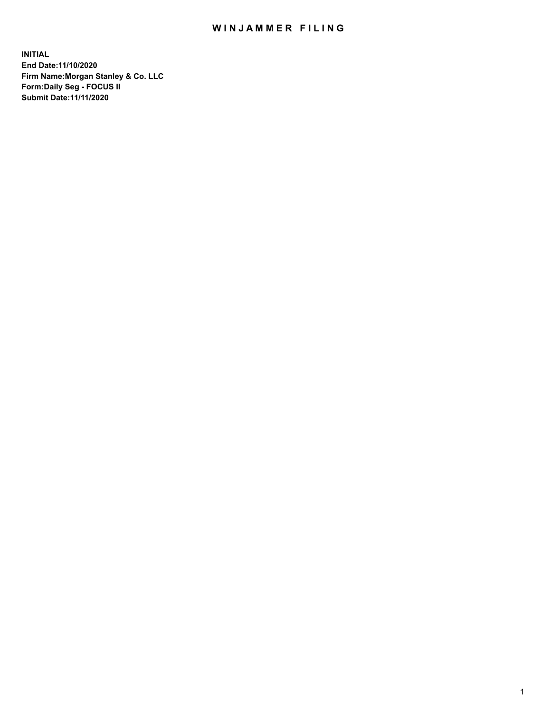## WIN JAMMER FILING

**INITIAL End Date:11/10/2020 Firm Name:Morgan Stanley & Co. LLC Form:Daily Seg - FOCUS II Submit Date:11/11/2020**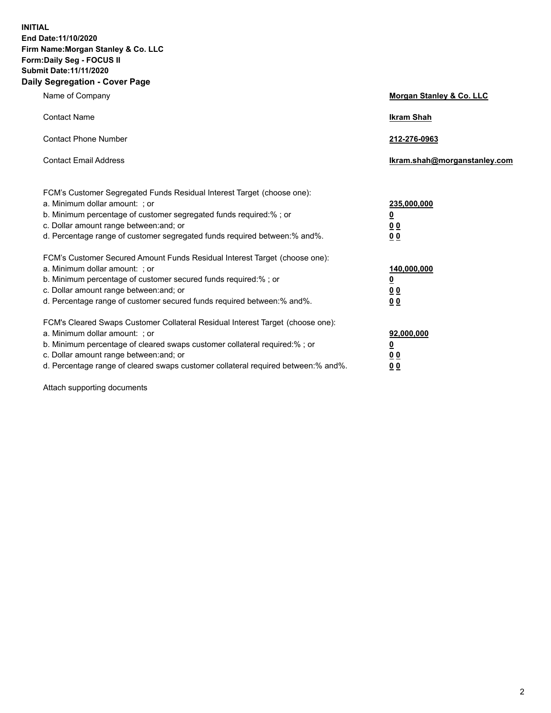**INITIAL End Date:11/10/2020 Firm Name:Morgan Stanley & Co. LLC Form:Daily Seg - FOCUS II Submit Date:11/11/2020 Daily Segregation - Cover Page**

| Name of Company                                                                                          | Morgan Stanley & Co. LLC     |
|----------------------------------------------------------------------------------------------------------|------------------------------|
| <b>Contact Name</b>                                                                                      | <b>Ikram Shah</b>            |
| <b>Contact Phone Number</b>                                                                              | 212-276-0963                 |
| <b>Contact Email Address</b>                                                                             | Ikram.shah@morganstanley.com |
|                                                                                                          |                              |
| FCM's Customer Segregated Funds Residual Interest Target (choose one):<br>a. Minimum dollar amount: ; or | 235,000,000                  |
| b. Minimum percentage of customer segregated funds required:% ; or                                       | <u>0</u>                     |
| c. Dollar amount range between: and; or                                                                  | <u>00</u>                    |
| d. Percentage range of customer segregated funds required between: % and %.                              | 0 <sup>0</sup>               |
| FCM's Customer Secured Amount Funds Residual Interest Target (choose one):                               |                              |
| a. Minimum dollar amount: ; or                                                                           | 140,000,000                  |
| b. Minimum percentage of customer secured funds required:%; or                                           | <u>0</u>                     |
| c. Dollar amount range between: and; or                                                                  | <u>0 0</u>                   |
| d. Percentage range of customer secured funds required between:% and%.                                   | 0 Q                          |
| FCM's Cleared Swaps Customer Collateral Residual Interest Target (choose one):                           |                              |
| a. Minimum dollar amount: ; or                                                                           | 92,000,000                   |
| b. Minimum percentage of cleared swaps customer collateral required:% ; or                               | <u>0</u>                     |
| c. Dollar amount range between: and; or                                                                  | 0 Q                          |
| d. Percentage range of cleared swaps customer collateral required between:% and%.                        | 0 <sub>0</sub>               |

Attach supporting documents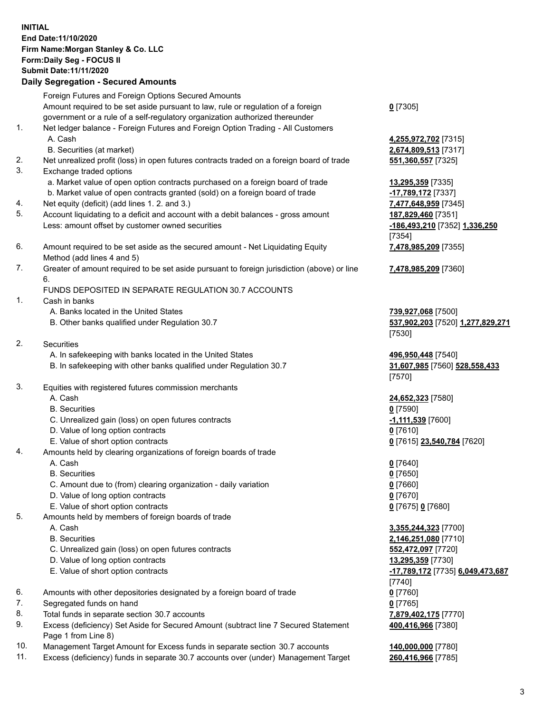## **INITIAL End Date:11/10/2020 Firm Name:Morgan Stanley & Co. LLC Form:Daily Seg - FOCUS II Submit Date:11/11/2020 Daily Segregation - Secured Amounts** Foreign Futures and Foreign Options Secured Amounts Amount required to be set aside pursuant to law, rule or regulation of a foreign government or a rule of a self-regulatory organization authorized thereunder 1. Net ledger balance - Foreign Futures and Foreign Option Trading - All Customers A. Cash **4,255,972,702** [7315] B. Securities (at market) **2,674,809,513** [7317] 2. Net unrealized profit (loss) in open futures contracts traded on a foreign board of trade **551,360,557** [7325] 3. Exchange traded options a. Market value of open option contracts purchased on a foreign board of trade **13,295,359** [7335] b. Market value of open contracts granted (sold) on a foreign board of trade **-17,789,172** [7337] 4. Net equity (deficit) (add lines 1. 2. and 3.) **7,477,648,959** [7345] 5. Account liquidating to a deficit and account with a debit balances - gross amount **187,829,460** [7351] Less: amount offset by customer owned securities **-186,493,210** [7352] **1,336,250** 6. Amount required to be set aside as the secured amount - Net Liquidating Equity Method (add lines 4 and 5) 7. Greater of amount required to be set aside pursuant to foreign jurisdiction (above) or line 6. FUNDS DEPOSITED IN SEPARATE REGULATION 30.7 ACCOUNTS 1. Cash in banks A. Banks located in the United States **739,927,068** [7500] B. Other banks qualified under Regulation 30.7 **537,902,203** [7520] **1,277,829,271** 2. Securities A. In safekeeping with banks located in the United States **496,950,448** [7540] B. In safekeeping with other banks qualified under Regulation 30.7 **31,607,985** [7560] **528,558,433**

- 3. Equities with registered futures commission merchants
	-
	- B. Securities **0** [7590]
	- C. Unrealized gain (loss) on open futures contracts **-1,111,539** [7600]
	- D. Value of long option contracts **0** [7610]
	- E. Value of short option contracts **0** [7615] **23,540,784** [7620]
- 4. Amounts held by clearing organizations of foreign boards of trade
	-
	- B. Securities **0** [7650]
	- C. Amount due to (from) clearing organization daily variation **0** [7660]
	- D. Value of long option contracts **0** [7670]
	- E. Value of short option contracts **0** [7675] **0** [7680]
- 5. Amounts held by members of foreign boards of trade
	-
	-
	- C. Unrealized gain (loss) on open futures contracts **552,472,097** [7720]
	- D. Value of long option contracts **13,295,359** [7730]
	- E. Value of short option contracts **-17,789,172** [7735] **6,049,473,687**
- 6. Amounts with other depositories designated by a foreign board of trade **0** [7760]
- 7. Segregated funds on hand **0** [7765]
- 8. Total funds in separate section 30.7 accounts **7,879,402,175** [7770]
- 9. Excess (deficiency) Set Aside for Secured Amount (subtract line 7 Secured Statement Page 1 from Line 8)
- 10. Management Target Amount for Excess funds in separate section 30.7 accounts **140,000,000** [7780]
- 11. Excess (deficiency) funds in separate 30.7 accounts over (under) Management Target **260,416,966** [7785]

**0** [7305]

[7354] **7,478,985,209** [7355]

**7,478,985,209** [7360]

[7530]

[7570]

A. Cash **24,652,323** [7580]

A. Cash **0** [7640]

 A. Cash **3,355,244,323** [7700] B. Securities **2,146,251,080** [7710] [7740] **400,416,966** [7380]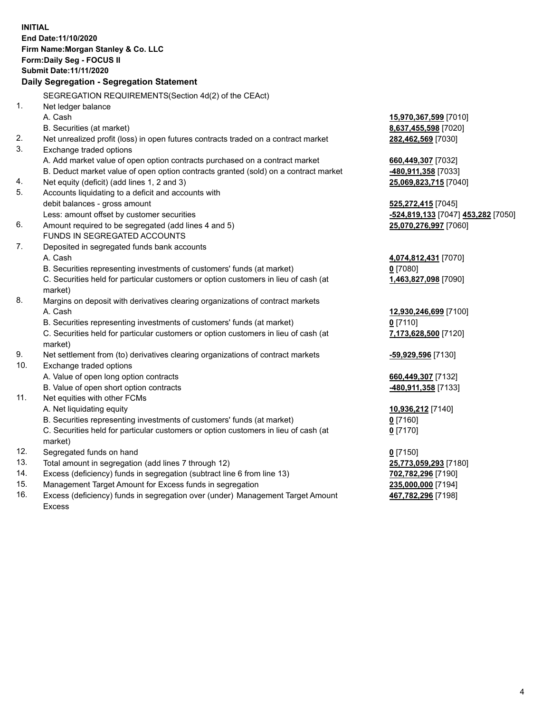|     | <b>INITIAL</b><br>End Date: 11/10/2020<br>Firm Name: Morgan Stanley & Co. LLC<br>Form: Daily Seg - FOCUS II<br>Submit Date: 11/11/2020 |                                                        |
|-----|----------------------------------------------------------------------------------------------------------------------------------------|--------------------------------------------------------|
|     | Daily Segregation - Segregation Statement                                                                                              |                                                        |
|     | SEGREGATION REQUIREMENTS(Section 4d(2) of the CEAct)                                                                                   |                                                        |
| 1.  | Net ledger balance                                                                                                                     |                                                        |
|     | A. Cash                                                                                                                                | 15,970,367,599 [7010]                                  |
|     | B. Securities (at market)                                                                                                              | 8,637,455,598 [7020]                                   |
| 2.  | Net unrealized profit (loss) in open futures contracts traded on a contract market                                                     | 282,462,569 [7030]                                     |
| 3.  | Exchange traded options                                                                                                                |                                                        |
|     | A. Add market value of open option contracts purchased on a contract market                                                            | 660,449,307 [7032]                                     |
|     | B. Deduct market value of open option contracts granted (sold) on a contract market                                                    | -480,911,358 [7033]                                    |
| 4.  | Net equity (deficit) (add lines 1, 2 and 3)                                                                                            | 25,069,823,715 [7040]                                  |
| 5.  | Accounts liquidating to a deficit and accounts with                                                                                    |                                                        |
|     | debit balances - gross amount                                                                                                          | 525,272,415 [7045]                                     |
|     | Less: amount offset by customer securities                                                                                             | <mark>-524,819,133</mark> [7047] <b>453,282</b> [7050] |
| 6.  | Amount required to be segregated (add lines 4 and 5)                                                                                   | 25,070,276,997 [7060]                                  |
|     | FUNDS IN SEGREGATED ACCOUNTS                                                                                                           |                                                        |
| 7.  | Deposited in segregated funds bank accounts                                                                                            |                                                        |
|     | A. Cash                                                                                                                                | 4,074,812,431 [7070]                                   |
|     | B. Securities representing investments of customers' funds (at market)                                                                 | $0$ [7080]                                             |
|     | C. Securities held for particular customers or option customers in lieu of cash (at                                                    | 1,463,827,098 [7090]                                   |
|     | market)                                                                                                                                |                                                        |
| 8.  | Margins on deposit with derivatives clearing organizations of contract markets                                                         |                                                        |
|     | A. Cash                                                                                                                                | 12,930,246,699 [7100]                                  |
|     | B. Securities representing investments of customers' funds (at market)                                                                 | $0$ [7110]                                             |
|     | C. Securities held for particular customers or option customers in lieu of cash (at<br>market)                                         | 7,173,628,500 [7120]                                   |
| 9.  | Net settlement from (to) derivatives clearing organizations of contract markets                                                        | -59,929,596 [7130]                                     |
| 10. | Exchange traded options                                                                                                                |                                                        |
|     | A. Value of open long option contracts                                                                                                 | 660,449,307 [7132]                                     |
|     | B. Value of open short option contracts                                                                                                | -480,911,358 [7133]                                    |
| 11. | Net equities with other FCMs                                                                                                           |                                                        |
|     | A. Net liquidating equity                                                                                                              | 10,936,212 [7140]                                      |
|     | B. Securities representing investments of customers' funds (at market)                                                                 | $0$ [7160]                                             |
|     | C. Securities held for particular customers or option customers in lieu of cash (at<br>market)                                         | $0$ [7170]                                             |
| 12. | Segregated funds on hand                                                                                                               | $0$ [7150]                                             |
| 13. | Total amount in segregation (add lines 7 through 12)                                                                                   | 25,773,059,293 [7180]                                  |
| 14. | Excess (deficiency) funds in segregation (subtract line 6 from line 13)                                                                | 702,782,296 [7190]                                     |
| 15. | Management Target Amount for Excess funds in segregation                                                                               | 235,000,000 [7194]                                     |
| 16. | Excess (deficiency) funds in segregation over (under) Management Target Amount                                                         | 467,782,296 [7198]                                     |

16. Excess (deficiency) funds in segregation over (under) Management Target Amount Excess